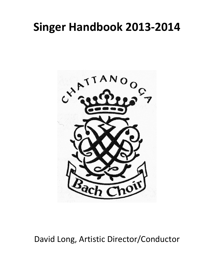# **Singer Handbook 2013-2014**



David Long, Artistic Director/Conductor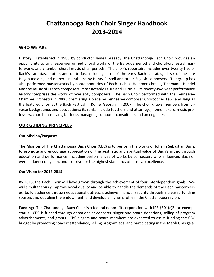# **Chattanooga Bach Choir Singer Handbook 2013-2014**

# WHO WE ARE

**History:** Established in 1985 by conductor James Greasby, the Chattanooga Bach Choir provides an opportunity to sing lesser-performed choral works of the Baroque period and choral-orchestral masterworks and chamber choral music of all periods. The choir's repertoire includes over twenty-five of Bach's cantatas, motets and oratorios, including most of the early Bach cantatas, all six of the late Haydn masses, and numerous anthems by Henry Purcell and other English composers. The group has also performed masterworks by contemporaries of Bach such as Hammerschmidt, Telemann, Handel and the music of French composers, most notably Faure and Durufle'; its twenty-two year performance history comprises the works of over sixty composers. The Bach Choir performed with the Tennessee Chamber Orchestra in 2006, premiering a piece by Tennessee composer Christopher Tew, and sang as the featured choir at the Bach Festival in Rome, Georgia, in 2007. The choir draws members from diverse backgrounds and occupations: its ranks include teachers and attorneys, homemakers, music professors, church musicians, business managers, computer consultants and an engineer.

# **OUR GUIDING PRINCIPLES**

#### **Our Mission/Purpose:**

**The Mission of The Chattanooga Bach Choir** (CBC) is to perform the works of Johann Sebastian Bach, to promote and encourage appreciation of the aesthetic and spiritual value of Bach's music through education and performance, including performances of works by composers who influenced Bach or were influenced by him, and to strive for the highest standards of musical excellence.

#### **Our Vision for 2012-2015:**

By 2015, the Bach Choir will have grown through the achievement of four interdependent goals. We will simultaneously improve vocal quality and be able to handle the demands of the Bach masterpieces; build audience through educational outreach; achieve financial security through increased funding sources and doubling the endowment; and develop a higher profile in the Chattanooga region.

**Funding:** The Chattanooga Bach Choir is a federal nonprofit corporation with IRS §501(c)3 tax-exempt status. CBC is funded through donations at concerts, singer and board donations, selling of program advertisements, and grants. CBC singers and board members are expected to assist funding the CBC budget by promoting concert attendance, selling program ads, and participating in the Mardi Gras gala.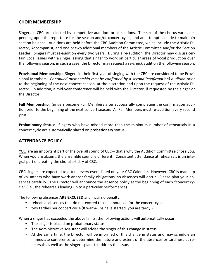# **CHOIR MEMBERSHIP**

Singers in CBC are selected by competitive audition for all sections. The size of the chorus varies depending upon the repertoire for the season and/or concert cycle, and an attempt is made to maintain section balance. Auditions are held before the CBC Audition Committee, which include the Artistic Director, Accompanist, and one or two additional members of the Artistic Committee and/or the Section Leader. Singers must re-audition every two years. During a re-audition, the Director may discuss certain vocal issues with a singer, asking that singer to work on particular areas of vocal production over the following season; in such a case, the Director may request a re-check audition the following season.

**Provisional Membership:** Singers in their first year of singing with the CBC are considered to be Provisional Members. Continued membership may be confirmed by a second (confirmation) audition prior to the beginning of the next concert season, at the discretion and upon the request of the Artistic Director. In addition, a mid-year conference will be held with the Director, if requested by the singer or the Director.

**Full Membership:** Singers become Full Members after successfully completing the confirmation audition prior to the beginning of the next concert season. All Full Members must re-audition every second year.

**Probationary Status:** Singers who have missed more than the minimum number of rehearsals in a concert cycle are automatically placed on **probationary** status.

#### **ATTENDANCE POLICY**

YOU are an important part of the overall sound of CBC—that's why the Audition Committee chose you. When you are absent, the ensemble sound is different. Consistent attendance at rehearsals is an integral part of creating the choral artistry of CBC.

CBC singers are expected to attend every event listed on your CBC Calendar. However, CBC is made up of volunteers who have work and/or family obligations, so absences will occur. Please plan your absences carefully. The Director will announce the absence policy at the beginning of each "concert cycle" (i.e., the rehearsals leading up to a particular performance).

The following absences ARE EXCUSED and incur no penalty:

- rehearsal absences that do not exceed those announced for the concert cycle
- two tardies per concert cycle (If warm-ups have started, you are tardy.)

When a singer has exceeded the above limits, the following actions will automatically occur:

- The singer is placed on probationary status.
- The Administrative Assistant will advise the singer of this change in status.
- At the same time, the Director will be informed of this change in status and may schedule an immediate conference to determine the nature and extent of the absences or tardiness at rehearsals as well as the singer's plans to address the issue.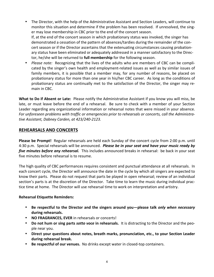- The Director, with the help of the Administrative Assistant and Section Leaders, will continue to monitor this situation and determine if the problem has been resolved. If unresolved, the singer may lose membership in CBC prior to the end of the concert season. If, at the end of the concert season in which probationary status was invoked, the singer has demonstrated a cessation of the pattern of absences/tardies during the remainder of the concert season or if the Director ascertains that the extenuating circumstances causing probationary status have been eliminated or adequately addressed in a manner satisfactory to the Director, he/she will be returned to full membership for the following season.
- Please note: Recognizing that the lives of the adults who are members of CBC can be complicated by the singer's own health and employment-related issues as well as by similar issues of family members, it is possible that a member may, for any number of reasons, be placed on probationary status for more than one year in his/her CBC career. As long as the conditions of probationary status are continually met to the satisfaction of the Director, the singer may remain in CBC.

**What to Do if Absent or Late:** Please notify the Administrative Assistant if you know you will miss, be late, or must leave before the end of a rehearsal. Be sure to check with a member of your Section Leader regarding any organizational information or rehearsal notes that were missed in your absence. For unforeseen problems with traffic or emergencies prior to rehearsals or concerts, call the Administra*tive Assistant, Dabney Carden, at 423/240-2123.*

# **REHEARSALS AND CONCERTS**

**Please be Prompt!** Regular rehearsals are held each Sunday of the concert cycle from 2:00 p.m. until 4:30 p.m. Special rehearsals will be announced. *Please be in your seat and have your music ready by five minutes before any rehearsal.* This includes announced breaks in rehearsal: be back in your seat five minutes before rehearsal is to resume.

The high quality of CBC performances requires consistent and punctual attendance at all rehearsals. In each concert cycle, the Director will announce the date in the cycle by which all singers are expected to know their parts. Please do not request that parts be played in open rehearsal; review of an individual section's parts is at the discretion of the Director. Take time to learn the music during individual practice time at home. The Director will use rehearsal time to work on interpretation and artistry.

#### **Rehearsal Etiquette Reminders:**

- Be respectful to the Director and the singers around you—please talk only when necessary during rehearsals.
- NO FRAGRANCES, EVER in rehearsals or concerts!
- **Do not hum or sing parts sotto voce in rehearsals.** It is distracting to the Director and the people near you.
- Direct your questions about notes, breath marks, pronunciation, etc., to your Section Leader **during rehearsal break.**
- Be respectful of our venues. No drinks except water in closed-top containers.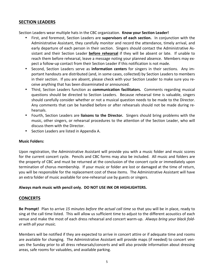## **SECTION LEADERS**

Section Leaders wear multiple hats in the CBC organization. **Know your Section Leader!** 

- First, and foremost, Section Leaders are **supervisors of each section.** In conjunction with the Administrative Assistant, they carefully monitor and record the attendance, timely arrival, and early departure of each person in their section. Singers should contact the Administrative Assistant and their Section Leader **before rehearsal** if they will be absent or late. If unable to reach them before rehearsal, leave a message noting your planned absence. Members may expect a follow-up contact from their Section Leader if this notification is not made.
- Second, Section Leaders serve as **information centers** for singers in their sections. Any important handouts are distributed (and, in some cases, collected) by Section Leaders to members in their section. If you are absent, please check with your Section Leader to make sure you receive anything that has been disseminated or announced.
- Third, Section Leaders function as **communication facilitators.** Comments regarding musical questions should be directed to Section Leaders. Because rehearsal time is valuable, singers should carefully consider whether or not a musical question needs to be made to the Director. Any comments that can be handled before or after rehearsals should not be made during rehearsals.
- Fourth, Section Leaders are **liaisons to the Director.** Singers should bring problems with the music, other singers, or rehearsal procedures to the attention of the Section Leader, who will discuss them with the Director.
- Section Leaders are listed in Appendix A.

#### **Music Folders:**

Upon registration, the Administrative Assistant will provide you with a music folder and music scores for the current concert cycle. Pencils and CBC forms may also be included. All music and folders are the property of CBC and must be returned at the conclusion of the concert cycle or immediately upon termination of chorus membership. If your music or folder are lost or damaged at the time of return, you will be responsible for the replacement cost of these items. The Administrative Assistant will have an extra folder of music available for one-rehearsal use by guests or singers.

#### Always mark music with pencil only. DO NOT USE INK OR HIGHLIGHTERS.

# **CONCERTS**

**Be Prompt!** Plan to arrive 15 minutes before the actual call time so that you will be in place, ready to sing at the call time listed. This will allow us sufficient time to adjust to the different acoustics of each venue and make the most of each dress rehearsal and concert warm-up. Always bring your black fold*er with all your music.*

Members will be notified if they are expected to arrive in concert attire or if adequate time and rooms are available for changing. The Administrative Assistant will provide maps (if needed) to concert venues the Sunday prior to all dress rehearsals/concerts and will also provide information about dressing areas, safe rooms for valuables, and available parking.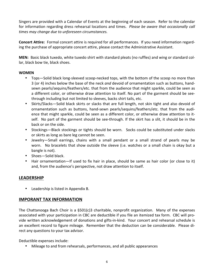Singers are provided with a Calendar of Events at the beginning of each season. Refer to the calendar for information regarding dress rehearsal locations and times. *Please be aware that occasionally call times may change due to unforeseen circumstances.*

**Concert Attire:** Formal concert attire is required for all performances. If you need information regarding the purchase of appropriate concert attire, please contact the Administrative Assistant.

MEN: Basic black tuxedo, white tuxedo shirt with standard pleats (no ruffles) and wing or standard collar, black bow tie, black shoes.

#### **WOMEN**

- Tops—Solid black long-sleeved scoop-necked tops, with the bottom of the scoop no more than 3 (or 4) inches below the base of the neck *and* devoid of ornamentation such as buttons, handsewn pearls/sequins/feathers/etc. that from the audience that might sparkle, could be seen as a different color, or otherwise draw attention to itself. No part of the garment should be seethrough including but not limited to sleeves, backs shirt tails, etc.
- Skirts/Slacks-Solid black skirts or slacks that are full length, not skin tight and also devoid of ornamentation such as buttons, hand-sewn pearls/sequins/feathers/etc. that from the audience that might sparkle, could be seen as a different color, or otherwise draw attention to itself. No part of the garment should be see-through. If the skirt has a slit, it should be in the back or on the side.
- Stockings-Black stockings or tights should be worn. Socks could be substituted under slacks or skirts as long as bare leg cannot be seen.
- Jewelry—Small earrings, chains with a small pendant or a small strand of pearls may be worn. No bracelets that show outside the sleeve (i.e. watches or a small chain is okay but a bangle is not).
- Shoes-Solid black.
- Hair ornamentation—If used to fix hair in place, should be same as hair color (or close to it) and, from the audience's perspective, not draw attention to itself.

# **LEADERSHIP**

• Leadership is listed in Appendix B.

# **IMPORANT TAX INFORMATION**

The Chattanooga Bach Choir is a  $\S 501(c)3$  charitable, nonprofit organization. Many of the expenses associated with your participation in CBC are deductible if you file an itemized tax form. CBC will provide written acknowledgement of donations and gifts-in-kind. Your concert and rehearsal schedule is an excellent record to figure mileage. Remember that the deduction can be considerable. Please direct any questions to your tax advisor.

Deductible expenses include:

Mileage to and from rehearsals, performances, and all public appearances